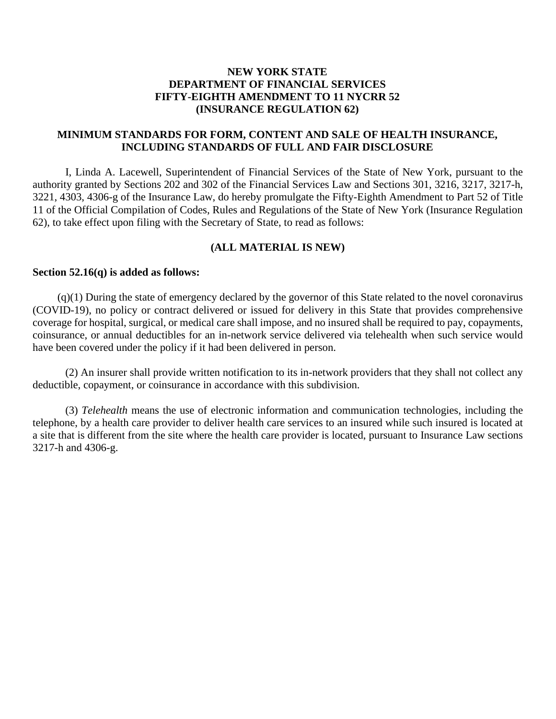# **NEW YORK STATE DEPARTMENT OF FINANCIAL SERVICES FIFTY-EIGHTH AMENDMENT TO 11 NYCRR 52 (INSURANCE REGULATION 62)**

# **MINIMUM STANDARDS FOR FORM, CONTENT AND SALE OF HEALTH INSURANCE, INCLUDING STANDARDS OF FULL AND FAIR DISCLOSURE**

I, Linda A. Lacewell, Superintendent of Financial Services of the State of New York, pursuant to the authority granted by Sections 202 and 302 of the Financial Services Law and Sections 301, 3216, 3217, 3217-h, 3221, 4303, 4306-g of the Insurance Law, do hereby promulgate the Fifty-Eighth Amendment to Part 52 of Title 11 of the Official Compilation of Codes, Rules and Regulations of the State of New York (Insurance Regulation 62), to take effect upon filing with the Secretary of State, to read as follows:

#### **(ALL MATERIAL IS NEW)**

#### **Section 52.16(q) is added as follows:**

(q)(1) During the state of emergency declared by the governor of this State related to the novel coronavirus (COVID-19), no policy or contract delivered or issued for delivery in this State that provides comprehensive coverage for hospital, surgical, or medical care shall impose, and no insured shall be required to pay, copayments, coinsurance, or annual deductibles for an in-network service delivered via telehealth when such service would have been covered under the policy if it had been delivered in person.

(2) An insurer shall provide written notification to its in-network providers that they shall not collect any deductible, copayment, or coinsurance in accordance with this subdivision.

(3) *Telehealth* means the use of electronic information and communication technologies, including the telephone, by a health care provider to deliver health care services to an insured while such insured is located at a site that is different from the site where the health care provider is located, pursuant to Insurance Law sections 3217-h and 4306-g.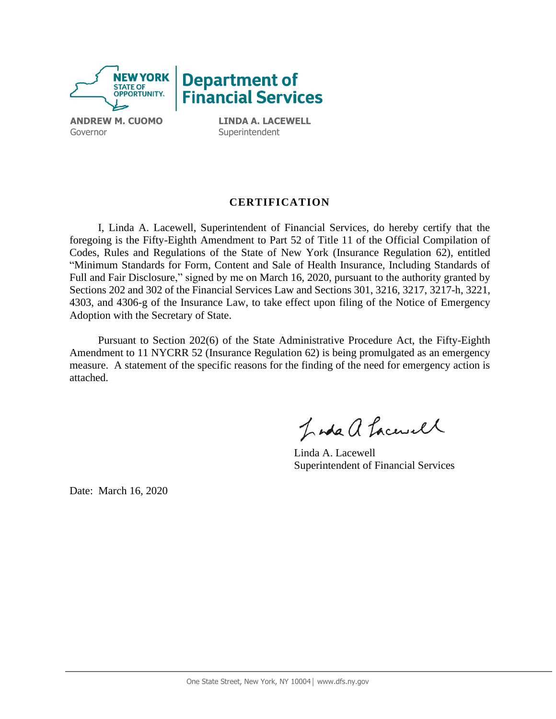

**Superintendent** 

# **CERTIFICATION**

I, Linda A. Lacewell, Superintendent of Financial Services, do hereby certify that the foregoing is the Fifty-Eighth Amendment to Part 52 of Title 11 of the Official Compilation of Codes, Rules and Regulations of the State of New York (Insurance Regulation 62), entitled "Minimum Standards for Form, Content and Sale of Health Insurance, Including Standards of Full and Fair Disclosure," signed by me on March 16, 2020, pursuant to the authority granted by Sections 202 and 302 of the Financial Services Law and Sections 301, 3216, 3217, 3217-h, 3221, 4303, and 4306-g of the Insurance Law, to take effect upon filing of the Notice of Emergency Adoption with the Secretary of State.

Pursuant to Section 202(6) of the State Administrative Procedure Act, the Fifty-Eighth Amendment to 11 NYCRR 52 (Insurance Regulation 62) is being promulgated as an emergency measure. A statement of the specific reasons for the finding of the need for emergency action is attached.

Inda a Lacusel

Linda A. Lacewell Superintendent of Financial Services

Date: March 16, 2020

Governor